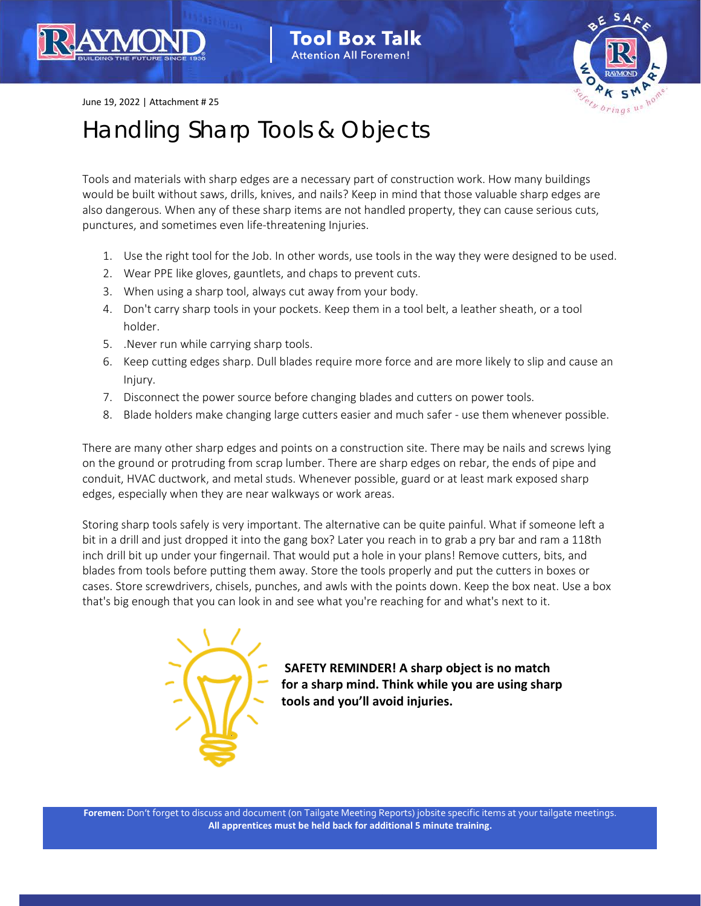## **Tool Box Talk Attention All Foremen!**



June 19, 2022 | Attachment # 25

## Handling Sharp Tools & Objects

Tools and materials with sharp edges are a necessary part of construction work. How many buildings would be built without saws, drills, knives, and nails? Keep in mind that those valuable sharp edges are also dangerous. When any of these sharp items are not handled property, they can cause serious cuts, punctures, and sometimes even life-threatening Injuries.

- 1. Use the right tool for the Job. In other words, use tools in the way they were designed to be used.
- 2. Wear PPE like gloves, gauntlets, and chaps to prevent cuts.
- 3. When using a sharp tool, always cut away from your body.
- 4. Don't carry sharp tools in your pockets. Keep them in a tool belt, a leather sheath, or a tool holder.
- 5. .Never run while carrying sharp tools.
- 6. Keep cutting edges sharp. Dull blades require more force and are more likely to slip and cause an Injury.
- 7. Disconnect the power source before changing blades and cutters on power tools.
- 8. Blade holders make changing large cutters easier and much safer use them whenever possible.

There are many other sharp edges and points on a construction site. There may be nails and screws lying on the ground or protruding from scrap lumber. There are sharp edges on rebar, the ends of pipe and conduit, HVAC ductwork, and metal studs. Whenever possible, guard or at least mark exposed sharp edges, especially when they are near walkways or work areas.

Storing sharp tools safely is very important. The alternative can be quite painful. What if someone left a bit in a drill and just dropped it into the gang box? Later you reach in to grab a pry bar and ram a 118th inch drill bit up under your fingernail. That would put a hole in your plans! Remove cutters, bits, and blades from tools before putting them away. Store the tools properly and put the cutters in boxes or cases. Store screwdrivers, chisels, punches, and awls with the points down. Keep the box neat. Use a box that's big enough that you can look in and see what you're reaching for and what's next to it.



**SAFETY REMINDER! A sharp object is no match for a sharp mind. Think while you are using sharp tools and you'll avoid injuries.**